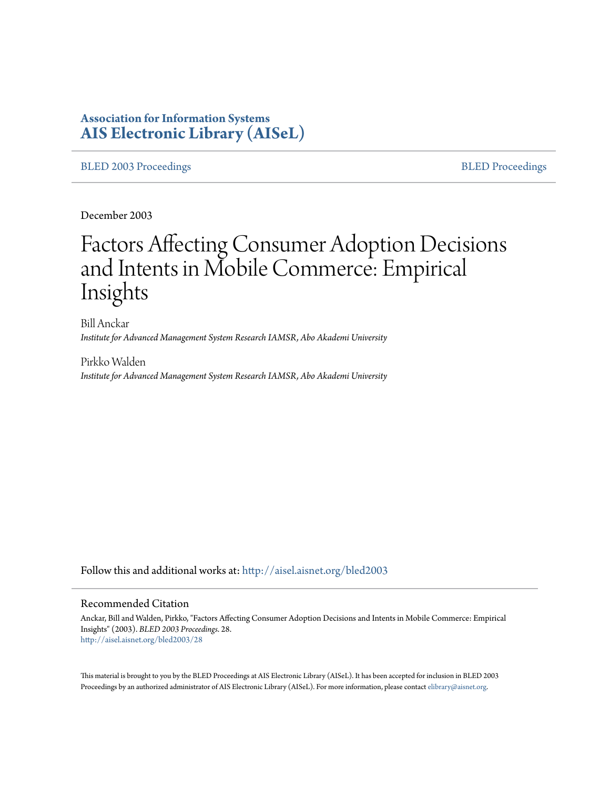# **Association for Information Systems [AIS Electronic Library \(AISeL\)](http://aisel.aisnet.org?utm_source=aisel.aisnet.org%2Fbled2003%2F28&utm_medium=PDF&utm_campaign=PDFCoverPages)**

[BLED 2003 Proceedings](http://aisel.aisnet.org/bled2003?utm_source=aisel.aisnet.org%2Fbled2003%2F28&utm_medium=PDF&utm_campaign=PDFCoverPages) and the state of the state of the [BLED Proceedings](http://aisel.aisnet.org/bled?utm_source=aisel.aisnet.org%2Fbled2003%2F28&utm_medium=PDF&utm_campaign=PDFCoverPages) and the BLED Proceedings and the BLED Proceedings and the BLED Proceedings and the BLED Proceedings and the BLED Proceedings and the BLED Proceedings

December 2003

# Factors Affecting Consumer Adoption Decisions and Intents in Mobile Commerce: Empirical Insights

Bill Anckar *Institute for Advanced Management System Research IAMSR, Abo Akademi University*

Pirkko Walden *Institute for Advanced Management System Research IAMSR, Abo Akademi University*

Follow this and additional works at: [http://aisel.aisnet.org/bled2003](http://aisel.aisnet.org/bled2003?utm_source=aisel.aisnet.org%2Fbled2003%2F28&utm_medium=PDF&utm_campaign=PDFCoverPages)

#### Recommended Citation

Anckar, Bill and Walden, Pirkko, "Factors Affecting Consumer Adoption Decisions and Intents in Mobile Commerce: Empirical Insights" (2003). *BLED 2003 Proceedings*. 28. [http://aisel.aisnet.org/bled2003/28](http://aisel.aisnet.org/bled2003/28?utm_source=aisel.aisnet.org%2Fbled2003%2F28&utm_medium=PDF&utm_campaign=PDFCoverPages)

This material is brought to you by the BLED Proceedings at AIS Electronic Library (AISeL). It has been accepted for inclusion in BLED 2003 Proceedings by an authorized administrator of AIS Electronic Library (AISeL). For more information, please contact [elibrary@aisnet.org](mailto:elibrary@aisnet.org%3E).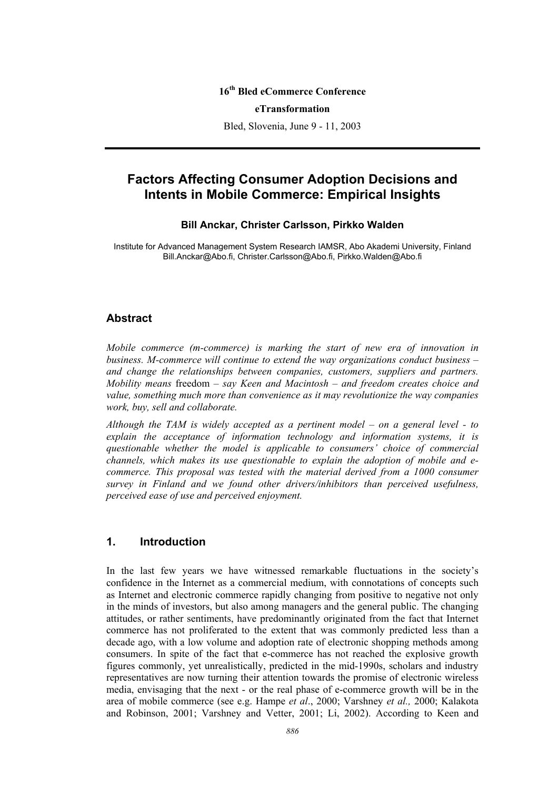#### **16th Bled eCommerce Conference**

#### **eTransformation**

Bled, Slovenia, June 9 - 11, 2003

# **Factors Affecting Consumer Adoption Decisions and Intents in Mobile Commerce: Empirical Insights**

#### **Bill Anckar, Christer Carlsson, Pirkko Walden**

Institute for Advanced Management System Research IAMSR, Abo Akademi University, Finland Bill.Anckar@Abo.fi, Christer.Carlsson@Abo.fi, Pirkko.Walden@Abo.fi

#### **Abstract**

*Mobile commerce (m-commerce) is marking the start of new era of innovation in business. M-commerce will continue to extend the way organizations conduct business – and change the relationships between companies, customers, suppliers and partners. Mobility means* freedom *– say Keen and Macintosh – and freedom creates choice and value, something much more than convenience as it may revolutionize the way companies work, buy, sell and collaborate.* 

*Although the TAM is widely accepted as a pertinent model – on a general level - to explain the acceptance of information technology and information systems, it is questionable whether the model is applicable to consumers' choice of commercial channels, which makes its use questionable to explain the adoption of mobile and ecommerce. This proposal was tested with the material derived from a 1000 consumer survey in Finland and we found other drivers/inhibitors than perceived usefulness, perceived ease of use and perceived enjoyment.* 

## **1. Introduction**

In the last few years we have witnessed remarkable fluctuations in the society's confidence in the Internet as a commercial medium, with connotations of concepts such as Internet and electronic commerce rapidly changing from positive to negative not only in the minds of investors, but also among managers and the general public. The changing attitudes, or rather sentiments, have predominantly originated from the fact that Internet commerce has not proliferated to the extent that was commonly predicted less than a decade ago, with a low volume and adoption rate of electronic shopping methods among consumers. In spite of the fact that e-commerce has not reached the explosive growth figures commonly, yet unrealistically, predicted in the mid-1990s, scholars and industry representatives are now turning their attention towards the promise of electronic wireless media, envisaging that the next - or the real phase of e-commerce growth will be in the area of mobile commerce (see e.g. Hampe *et al*., 2000; Varshney *et al.,* 2000; Kalakota and Robinson, 2001; Varshney and Vetter, 2001; Li, 2002). According to Keen and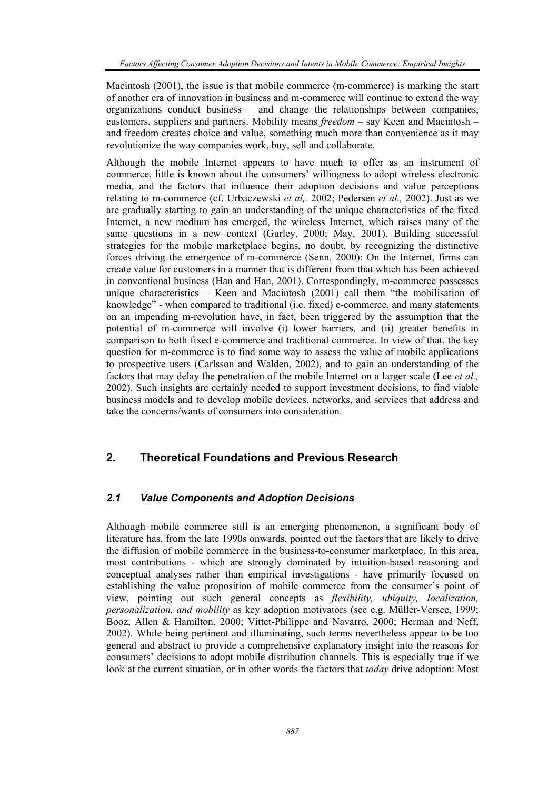Macintosh (2001), the issue is that mobile commerce (m-commerce) is marking the start of another era of innovation in business and m-commerce will continue to extend the way organizations conduct business – and change the relationships between companies, customers, suppliers and partners. Mobility means *freedom* – say Keen and Macintosh – and freedom creates choice and value, something much more than convenience as it may revolutionize the way companies work, buy, sell and collaborate.

Although the mobile Internet appears to have much to offer as an instrument of commerce, little is known about the consumers' willingness to adopt wireless electronic media, and the factors that influence their adoption decisions and value perceptions relating to m-commerce (cf. Urbaczewski *et al,.* 2002; Pedersen *et al.,* 2002). Just as we are gradually starting to gain an understanding of the unique characteristics of the fixed Internet, a new medium has emerged, the wireless Internet, which raises many of the same questions in a new context (Gurley, 2000; May, 2001). Building successful strategies for the mobile marketplace begins, no doubt, by recognizing the distinctive forces driving the emergence of m-commerce (Senn, 2000): On the Internet, firms can create value for customers in a manner that is different from that which has been achieved in conventional business (Han and Han, 2001). Correspondingly, m-commerce possesses unique characteristics – Keen and Macintosh (2001) call them "the mobilisation of knowledge" - when compared to traditional (i.e. fixed) e-commerce, and many statements on an impending m-revolution have, in fact, been triggered by the assumption that the potential of m-commerce will involve (i) lower barriers, and (ii) greater benefits in comparison to both fixed e-commerce and traditional commerce. In view of that, the key question for m-commerce is to find some way to assess the value of mobile applications to prospective users (Carlsson and Walden, 2002), and to gain an understanding of the factors that may delay the penetration of the mobile Internet on a larger scale (Lee *et al.,* 2002). Such insights are certainly needed to support investment decisions, to find viable business models and to develop mobile devices, networks, and services that address and take the concerns/wants of consumers into consideration.

## **2. Theoretical Foundations and Previous Research**

#### *2.1 Value Components and Adoption Decisions*

Although mobile commerce still is an emerging phenomenon, a significant body of literature has, from the late 1990s onwards, pointed out the factors that are likely to drive the diffusion of mobile commerce in the business-to-consumer marketplace. In this area, most contributions - which are strongly dominated by intuition-based reasoning and conceptual analyses rather than empirical investigations - have primarily focused on establishing the value proposition of mobile commerce from the consumer's point of view, pointing out such general concepts as *flexibility, ubiquity, localization, personalization, and mobility* as key adoption motivators (see e.g. Müller-Versee, 1999; Booz, Allen & Hamilton, 2000; Vittet-Philippe and Navarro, 2000; Herman and Neff, 2002). While being pertinent and illuminating, such terms nevertheless appear to be too general and abstract to provide a comprehensive explanatory insight into the reasons for consumers' decisions to adopt mobile distribution channels. This is especially true if we look at the current situation, or in other words the factors that *today* drive adoption: Most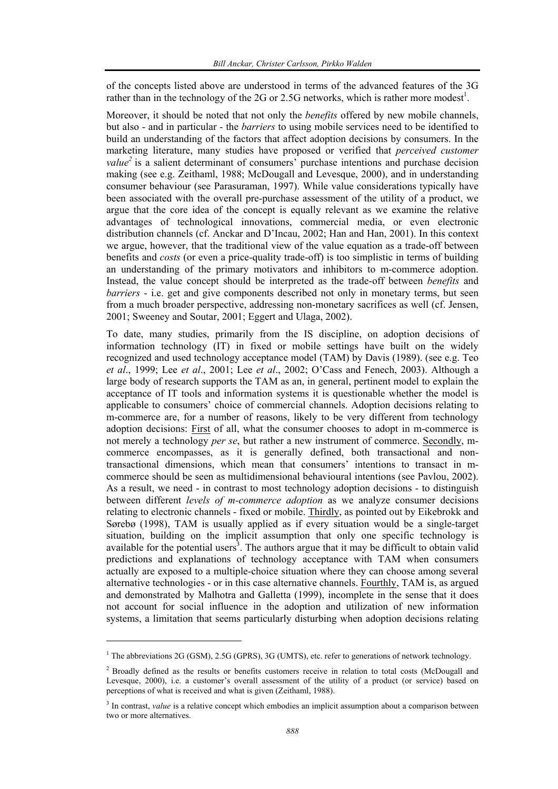of the concepts listed above are understood in terms of the advanced features of the 3G rather than in the technology of the 2G or 2.5G networks, which is rather more modest<sup>1</sup>.

Moreover, it should be noted that not only the *benefits* offered by new mobile channels, but also - and in particular - the *barriers* to using mobile services need to be identified to build an understanding of the factors that affect adoption decisions by consumers. In the marketing literature, many studies have proposed or verified that *perceived customer value*<sup>2</sup> is a salient determinant of consumers' purchase intentions and purchase decision making (see e.g. Zeithaml, 1988; McDougall and Levesque, 2000), and in understanding consumer behaviour (see Parasuraman, 1997). While value considerations typically have been associated with the overall pre-purchase assessment of the utility of a product, we argue that the core idea of the concept is equally relevant as we examine the relative advantages of technological innovations, commercial media, or even electronic distribution channels (cf. Anckar and D'Incau, 2002; Han and Han, 2001). In this context we argue, however, that the traditional view of the value equation as a trade-off between benefits and *costs* (or even a price-quality trade-off) is too simplistic in terms of building an understanding of the primary motivators and inhibitors to m-commerce adoption. Instead, the value concept should be interpreted as the trade-off between *benefits* and *barriers* - i.e. get and give components described not only in monetary terms, but seen from a much broader perspective, addressing non-monetary sacrifices as well (cf. Jensen, 2001; Sweeney and Soutar, 2001; Eggert and Ulaga, 2002).

To date, many studies, primarily from the IS discipline, on adoption decisions of information technology  $(IT)$  in fixed or mobile settings have built on the widely recognized and used technology acceptance model (TAM) by Davis (1989). (see e.g. Teo *et al*., 1999; Lee *et al*., 2001; Lee *et al*., 2002; O'Cass and Fenech, 2003). Although a large body of research supports the TAM as an, in general, pertinent model to explain the acceptance of IT tools and information systems it is questionable whether the model is applicable to consumers' choice of commercial channels. Adoption decisions relating to m-commerce are, for a number of reasons, likely to be very different from technology adoption decisions: First of all, what the consumer chooses to adopt in m-commerce is not merely a technology *per se*, but rather a new instrument of commerce. Secondly, mcommerce encompasses, as it is generally defined, both transactional and nontransactional dimensions, which mean that consumers' intentions to transact in mcommerce should be seen as multidimensional behavioural intentions (see Pavlou, 2002). As a result, we need - in contrast to most technology adoption decisions - to distinguish between different *levels of m-commerce adoption* as we analyze consumer decisions relating to electronic channels - fixed or mobile. Thirdly, as pointed out by Eikebrokk and Sørebø (1998), TAM is usually applied as if every situation would be a single-target situation, building on the implicit assumption that only one specific technology is available for the potential users<sup>3</sup>. The authors argue that it may be difficult to obtain valid predictions and explanations of technology acceptance with TAM when consumers actually are exposed to a multiple-choice situation where they can choose among several alternative technologies - or in this case alternative channels. Fourthly, TAM is, as argued and demonstrated by Malhotra and Galletta (1999), incomplete in the sense that it does not account for social influence in the adoption and utilization of new information systems, a limitation that seems particularly disturbing when adoption decisions relating

l

<sup>&</sup>lt;sup>1</sup> The abbreviations 2G (GSM), 2.5G (GPRS), 3G (UMTS), etc. refer to generations of network technology.

<sup>&</sup>lt;sup>2</sup> Broadly defined as the results or benefits customers receive in relation to total costs (McDougall and Levesque, 2000), i.e. a customer's overall assessment of the utility of a product (or service) based on perceptions of what is received and what is given (Zeithaml, 1988).

<sup>&</sup>lt;sup>3</sup> In contrast, *value* is a relative concept which embodies an implicit assumption about a comparison between two or more alternatives.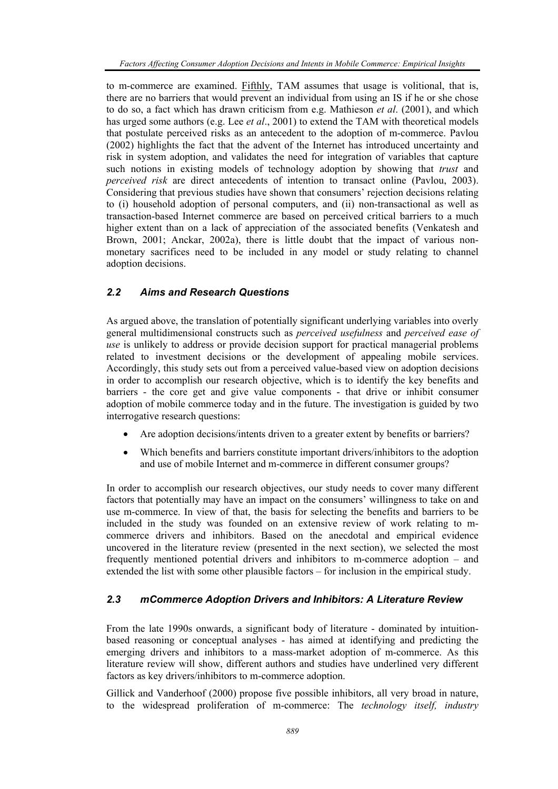to m-commerce are examined. Fifthly, TAM assumes that usage is volitional, that is, there are no barriers that would prevent an individual from using an IS if he or she chose to do so, a fact which has drawn criticism from e.g. Mathieson *et al*. (2001), and which has urged some authors (e.g. Lee *et al*., 2001) to extend the TAM with theoretical models that postulate perceived risks as an antecedent to the adoption of m-commerce. Pavlou (2002) highlights the fact that the advent of the Internet has introduced uncertainty and risk in system adoption, and validates the need for integration of variables that capture such notions in existing models of technology adoption by showing that *trust* and *perceived risk* are direct antecedents of intention to transact online (Pavlou, 2003). Considering that previous studies have shown that consumers' rejection decisions relating to (i) household adoption of personal computers, and (ii) non-transactional as well as transaction-based Internet commerce are based on perceived critical barriers to a much higher extent than on a lack of appreciation of the associated benefits (Venkatesh and Brown, 2001; Anckar, 2002a), there is little doubt that the impact of various nonmonetary sacrifices need to be included in any model or study relating to channel adoption decisions.

#### *2.2 Aims and Research Questions*

As argued above, the translation of potentially significant underlying variables into overly general multidimensional constructs such as *perceived usefulness* and *perceived ease of use* is unlikely to address or provide decision support for practical managerial problems related to investment decisions or the development of appealing mobile services. Accordingly, this study sets out from a perceived value-based view on adoption decisions in order to accomplish our research objective, which is to identify the key benefits and barriers - the core get and give value components - that drive or inhibit consumer adoption of mobile commerce today and in the future. The investigation is guided by two interrogative research questions:

- Are adoption decisions/intents driven to a greater extent by benefits or barriers?
- Which benefits and barriers constitute important drivers/inhibitors to the adoption and use of mobile Internet and m-commerce in different consumer groups?

In order to accomplish our research objectives, our study needs to cover many different factors that potentially may have an impact on the consumers' willingness to take on and use m-commerce. In view of that, the basis for selecting the benefits and barriers to be included in the study was founded on an extensive review of work relating to mcommerce drivers and inhibitors. Based on the anecdotal and empirical evidence uncovered in the literature review (presented in the next section), we selected the most frequently mentioned potential drivers and inhibitors to m-commerce adoption – and extended the list with some other plausible factors – for inclusion in the empirical study.

## *2.3 mCommerce Adoption Drivers and Inhibitors: A Literature Review*

From the late 1990s onwards, a significant body of literature - dominated by intuitionbased reasoning or conceptual analyses - has aimed at identifying and predicting the emerging drivers and inhibitors to a mass-market adoption of m-commerce. As this literature review will show, different authors and studies have underlined very different factors as key drivers/inhibitors to m-commerce adoption.

Gillick and Vanderhoof (2000) propose five possible inhibitors, all very broad in nature, to the widespread proliferation of m-commerce: The *technology itself, industry*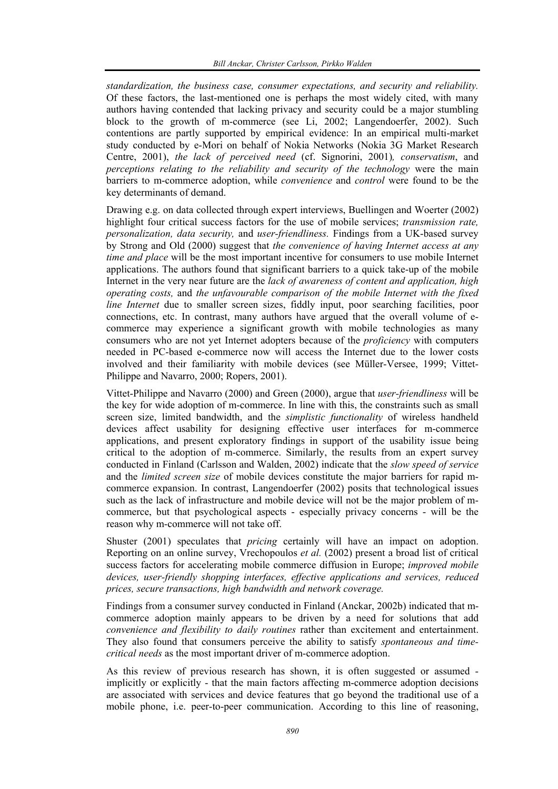*standardization, the business case, consumer expectations, and security and reliability.*  Of these factors, the last-mentioned one is perhaps the most widely cited, with many authors having contended that lacking privacy and security could be a major stumbling block to the growth of m-commerce (see Li, 2002; Langendoerfer, 2002). Such contentions are partly supported by empirical evidence: In an empirical multi-market study conducted by e-Mori on behalf of Nokia Networks (Nokia 3G Market Research Centre, 2001), *the lack of perceived need* (cf. Signorini, 2001)*, conservatism*, and *perceptions relating to the reliability and security of the technology* were the main barriers to m-commerce adoption, while *convenience* and *control* were found to be the key determinants of demand.

Drawing e.g. on data collected through expert interviews, Buellingen and Woerter (2002) highlight four critical success factors for the use of mobile services; *transmission rate, personalization, data security,* and *user-friendliness.* Findings from a UK-based survey by Strong and Old (2000) suggest that *the convenience of having Internet access at any time and place* will be the most important incentive for consumers to use mobile Internet applications. The authors found that significant barriers to a quick take-up of the mobile Internet in the very near future are the *lack of awareness of content and application, high operating costs,* and *the unfavourable comparison of the mobile Internet with the fixed line Internet* due to smaller screen sizes, fiddly input, poor searching facilities, poor connections, etc. In contrast, many authors have argued that the overall volume of ecommerce may experience a significant growth with mobile technologies as many consumers who are not yet Internet adopters because of the *proficiency* with computers needed in PC-based e-commerce now will access the Internet due to the lower costs involved and their familiarity with mobile devices (see Müller-Versee, 1999; Vittet-Philippe and Navarro, 2000; Ropers, 2001).

Vittet-Philippe and Navarro (2000) and Green (2000), argue that *user-friendliness* will be the key for wide adoption of m-commerce. In line with this, the constraints such as small screen size, limited bandwidth, and the *simplistic functionality* of wireless handheld devices affect usability for designing effective user interfaces for m-commerce applications, and present exploratory findings in support of the usability issue being critical to the adoption of m-commerce. Similarly, the results from an expert survey conducted in Finland (Carlsson and Walden, 2002) indicate that the *slow speed of service* and the *limited screen size* of mobile devices constitute the major barriers for rapid mcommerce expansion. In contrast, Langendoerfer (2002) posits that technological issues such as the lack of infrastructure and mobile device will not be the major problem of mcommerce, but that psychological aspects - especially privacy concerns - will be the reason why m-commerce will not take off.

Shuster (2001) speculates that *pricing* certainly will have an impact on adoption. Reporting on an online survey, Vrechopoulos *et al.* (2002) present a broad list of critical success factors for accelerating mobile commerce diffusion in Europe; *improved mobile devices, user-friendly shopping interfaces, effective applications and services, reduced prices, secure transactions, high bandwidth and network coverage.* 

Findings from a consumer survey conducted in Finland (Anckar, 2002b) indicated that mcommerce adoption mainly appears to be driven by a need for solutions that add *convenience and flexibility to daily routines* rather than excitement and entertainment. They also found that consumers perceive the ability to satisfy *spontaneous and timecritical needs* as the most important driver of m-commerce adoption.

As this review of previous research has shown, it is often suggested or assumed implicitly or explicitly - that the main factors affecting m-commerce adoption decisions are associated with services and device features that go beyond the traditional use of a mobile phone, i.e. peer-to-peer communication. According to this line of reasoning,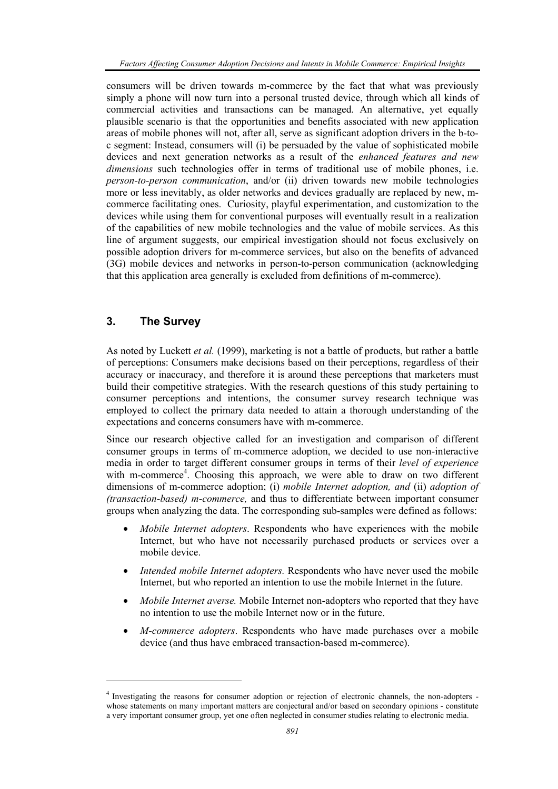consumers will be driven towards m-commerce by the fact that what was previously simply a phone will now turn into a personal trusted device, through which all kinds of commercial activities and transactions can be managed. An alternative, yet equally plausible scenario is that the opportunities and benefits associated with new application areas of mobile phones will not, after all, serve as significant adoption drivers in the b-toc segment: Instead, consumers will (i) be persuaded by the value of sophisticated mobile devices and next generation networks as a result of the *enhanced features and new dimensions* such technologies offer in terms of traditional use of mobile phones, i.e. *person-to-person communication*, and/or (ii) driven towards new mobile technologies more or less inevitably, as older networks and devices gradually are replaced by new, mcommerce facilitating ones. Curiosity, playful experimentation, and customization to the devices while using them for conventional purposes will eventually result in a realization of the capabilities of new mobile technologies and the value of mobile services. As this line of argument suggests, our empirical investigation should not focus exclusively on possible adoption drivers for m-commerce services, but also on the benefits of advanced (3G) mobile devices and networks in person-to-person communication (acknowledging that this application area generally is excluded from definitions of m-commerce).

## **3. The Survey**

l

As noted by Luckett *et al.* (1999), marketing is not a battle of products, but rather a battle of perceptions: Consumers make decisions based on their perceptions, regardless of their accuracy or inaccuracy, and therefore it is around these perceptions that marketers must build their competitive strategies. With the research questions of this study pertaining to consumer perceptions and intentions, the consumer survey research technique was employed to collect the primary data needed to attain a thorough understanding of the expectations and concerns consumers have with m-commerce.

Since our research objective called for an investigation and comparison of different consumer groups in terms of m-commerce adoption, we decided to use non-interactive media in order to target different consumer groups in terms of their *level of experience* with m-commerce<sup>4</sup>. Choosing this approach, we were able to draw on two different dimensions of m-commerce adoption; (i) *mobile Internet adoption, and* (ii) *adoption of (transaction-based) m-commerce,* and thus to differentiate between important consumer groups when analyzing the data. The corresponding sub-samples were defined as follows:

- *Mobile Internet adopters*. Respondents who have experiences with the mobile Internet, but who have not necessarily purchased products or services over a mobile device.
- *Intended mobile Internet adopters.* Respondents who have never used the mobile Internet, but who reported an intention to use the mobile Internet in the future.
- *Mobile Internet averse.* Mobile Internet non-adopters who reported that they have no intention to use the mobile Internet now or in the future.
- *M-commerce adopters*. Respondents who have made purchases over a mobile device (and thus have embraced transaction-based m-commerce).

<sup>4</sup> Investigating the reasons for consumer adoption or rejection of electronic channels, the non-adopters whose statements on many important matters are conjectural and/or based on secondary opinions - constitute a very important consumer group, yet one often neglected in consumer studies relating to electronic media.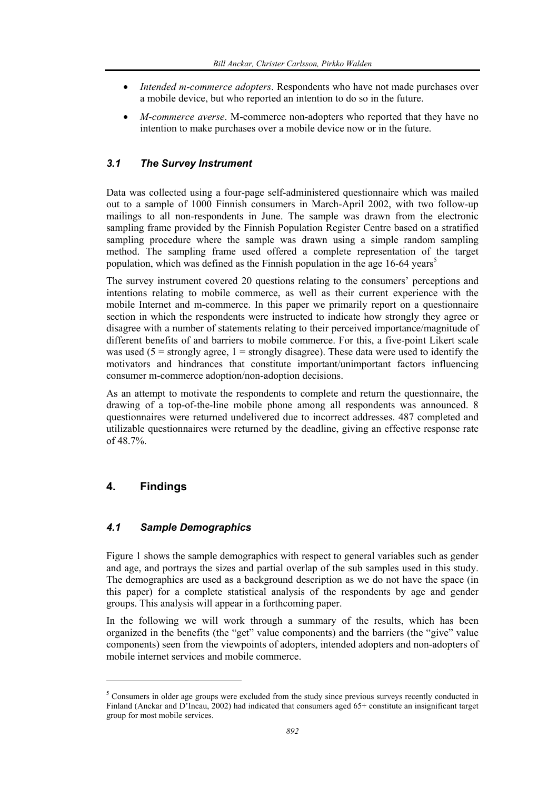- *Intended m-commerce adopters*. Respondents who have not made purchases over a mobile device, but who reported an intention to do so in the future.
- *M-commerce averse*. M-commerce non-adopters who reported that they have no intention to make purchases over a mobile device now or in the future.

## *3.1 The Survey Instrument*

Data was collected using a four-page self-administered questionnaire which was mailed out to a sample of 1000 Finnish consumers in March-April 2002, with two follow-up mailings to all non-respondents in June. The sample was drawn from the electronic sampling frame provided by the Finnish Population Register Centre based on a stratified sampling procedure where the sample was drawn using a simple random sampling method. The sampling frame used offered a complete representation of the target population, which was defined as the Finnish population in the age  $16-64$  years<sup>5</sup>

The survey instrument covered 20 questions relating to the consumers' perceptions and intentions relating to mobile commerce, as well as their current experience with the mobile Internet and m-commerce. In this paper we primarily report on a questionnaire section in which the respondents were instructed to indicate how strongly they agree or disagree with a number of statements relating to their perceived importance/magnitude of different benefits of and barriers to mobile commerce. For this, a five-point Likert scale was used ( $5 =$  strongly agree,  $1 =$  strongly disagree). These data were used to identify the motivators and hindrances that constitute important/unimportant factors influencing consumer m-commerce adoption/non-adoption decisions.

As an attempt to motivate the respondents to complete and return the questionnaire, the drawing of a top-of-the-line mobile phone among all respondents was announced. 8 questionnaires were returned undelivered due to incorrect addresses. 487 completed and utilizable questionnaires were returned by the deadline, giving an effective response rate of 48.7%.

## **4. Findings**

l

## *4.1 Sample Demographics*

Figure 1 shows the sample demographics with respect to general variables such as gender and age, and portrays the sizes and partial overlap of the sub samples used in this study. The demographics are used as a background description as we do not have the space (in this paper) for a complete statistical analysis of the respondents by age and gender groups. This analysis will appear in a forthcoming paper.

In the following we will work through a summary of the results, which has been organized in the benefits (the "get" value components) and the barriers (the "give" value components) seen from the viewpoints of adopters, intended adopters and non-adopters of mobile internet services and mobile commerce.

 $<sup>5</sup>$  Consumers in older age groups were excluded from the study since previous surveys recently conducted in</sup> Finland (Anckar and D'Incau, 2002) had indicated that consumers aged 65+ constitute an insignificant target group for most mobile services.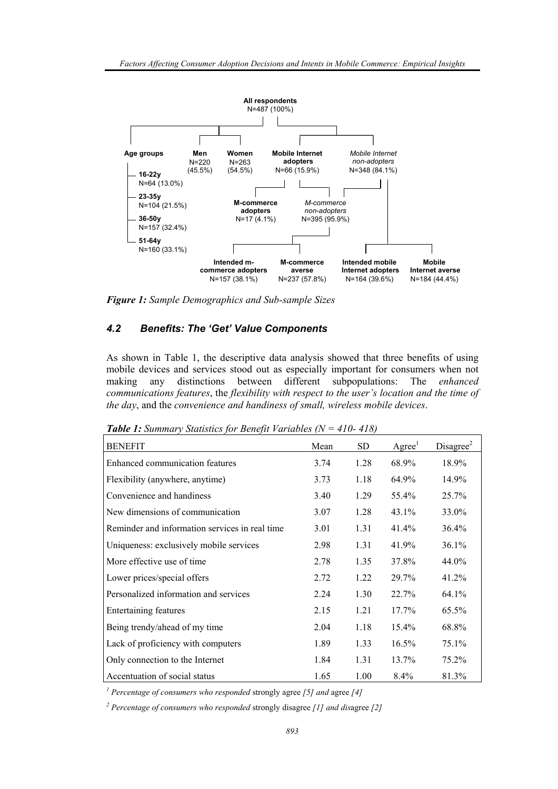

*Figure 1: Sample Demographics and Sub-sample Sizes* 

#### *4.2 Benefits: The 'Get' Value Components*

As shown in Table 1, the descriptive data analysis showed that three benefits of using mobile devices and services stood out as especially important for consumers when not making any distinctions between different subpopulations: The *enhanced communications features*, the *flexibility with respect to the user's location and the time of the day*, and the *convenience and handiness of small, wireless mobile devices*.

*Table 1: Summary Statistics for Benefit Variables (N = 410- 418)* 

| <b>BENEFIT</b>                                 | Mean | SD   | $\rm{Agree}^1$ | Disagree <sup>2</sup> |
|------------------------------------------------|------|------|----------------|-----------------------|
| <b>Enhanced communication features</b>         | 3.74 | 1.28 | 68.9%          | 18.9%                 |
| Flexibility (anywhere, anytime)                | 3.73 | 1.18 | 64.9%          | 14.9%                 |
| Convenience and handiness                      | 3.40 | 1.29 | 55.4%          | 25.7%                 |
| New dimensions of communication                | 3.07 | 1.28 | 43.1%          | 33.0%                 |
| Reminder and information services in real time | 3.01 | 1.31 | $41.4\%$       | 36.4%                 |
| Uniqueness: exclusively mobile services        | 2.98 | 1.31 | 41.9%          | $36.1\%$              |
| More effective use of time                     | 2.78 | 1.35 | 37.8%          | 44.0%                 |
| Lower prices/special offers                    | 2.72 | 1.22 | 29.7%          | 41.2%                 |
| Personalized information and services          | 2.24 | 1.30 | 22.7%          | 64.1%                 |
| Entertaining features                          | 2.15 | 1.21 | $17.7\%$       | 65.5%                 |
| Being trendy/ahead of my time                  | 2.04 | 1.18 | 15.4%          | 68.8%                 |
| Lack of proficiency with computers             | 1.89 | 1.33 | $16.5\%$       | 75.1%                 |
| Only connection to the Internet                | 1.84 | 1.31 | 13.7%          | 75.2%                 |
| Accentuation of social status                  | 1.65 | 1.00 | $8.4\%$        | 81.3%                 |

*1 Percentage of consumers who responded* strongly agree *[5] and* agree *[4]* 

*2 Percentage of consumers who responded* strongly disagree *[1] and dis*agree *[2]*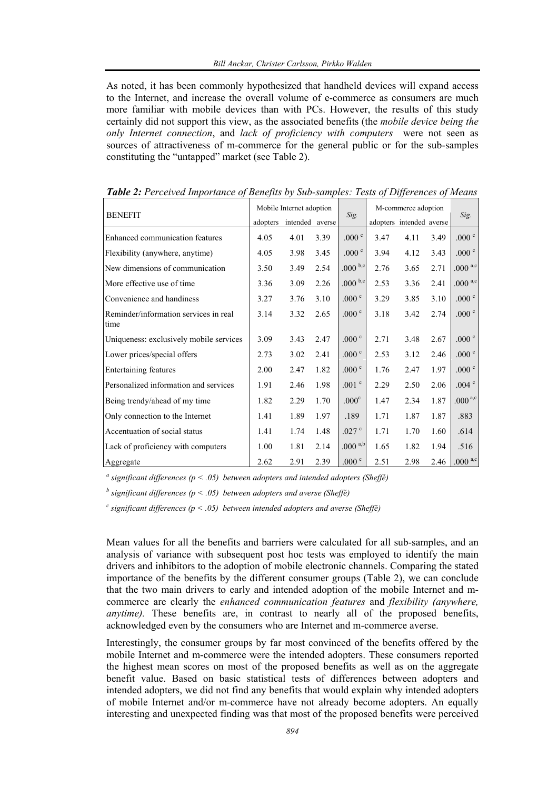As noted, it has been commonly hypothesized that handheld devices will expand access to the Internet, and increase the overall volume of e-commerce as consumers are much more familiar with mobile devices than with PCs. However, the results of this study certainly did not support this view, as the associated benefits (the *mobile device being the only Internet connection*, and *lack of proficiency with computers* were not seen as sources of attractiveness of m-commerce for the general public or for the sub-samples constituting the "untapped" market (see Table 2).

| <b>BENEFIT</b>                                | Mobile Internet adoption |                 |      | Sig.              | M-commerce adoption |                          |      |                     |  |
|-----------------------------------------------|--------------------------|-----------------|------|-------------------|---------------------|--------------------------|------|---------------------|--|
|                                               | adopters                 | intended averse |      |                   |                     | adopters intended averse |      | Sig.                |  |
| Enhanced communication features               | 4.05                     | 4.01            | 3.39 | .000 $^{\circ}$   | 3.47                | 4.11                     | 3.49 | .000 $^{\circ}$     |  |
| Flexibility (anywhere, anytime)               | 4.05                     | 3.98            | 3.45 | .000 <sup>c</sup> | 3.94                | 4.12                     | 3.43 | .000 $^{\circ}$     |  |
| New dimensions of communication               | 3.50                     | 3.49            | 2.54 | .000 $b,c$        | 2.76                | 3.65                     | 2.71 | .000 $a,c$          |  |
| More effective use of time                    | 3.36                     | 3.09            | 2.26 | .000 $b,c$        | 2.53                | 3.36                     | 2.41 | .000 $a,c$          |  |
| Convenience and handiness                     | 3.27                     | 3.76            | 3.10 | .000 $^{\circ}$   | 3.29                | 3.85                     | 3.10 | .000 $^{\circ}$     |  |
| Reminder/information services in real<br>time | 3.14                     | 3.32            | 2.65 | .000 <sup>c</sup> | 3.18                | 3.42                     | 2.74 | .000 $^{\circ}$     |  |
| Uniqueness: exclusively mobile services       | 3.09                     | 3.43            | 2.47 | .000 $^{\circ}$   | 2.71                | 3.48                     | 2.67 | .000 $^{\circ}$     |  |
| Lower prices/special offers                   | 2.73                     | 3.02            | 2.41 | .000 $^{\circ}$   | 2.53                | 3.12                     | 2.46 | .000 $^{\circ}$     |  |
| <b>Entertaining features</b>                  | 2.00                     | 2.47            | 1.82 | .000 $^{\circ}$   | 1.76                | 2.47                     | 1.97 | .000 $^{\circ}$     |  |
| Personalized information and services         | 1.91                     | 2.46            | 1.98 | .001 $^{\circ}$   | 2.29                | 2.50                     | 2.06 | .004 $^{\circ}$     |  |
| Being trendy/ahead of my time                 | 1.82                     | 2.29            | 1.70 | .000 <sup>c</sup> | 1.47                | 2.34                     | 1.87 | .000 <sup>a,c</sup> |  |
| Only connection to the Internet               | 1.41                     | 1.89            | 1.97 | .189              | 1.71                | 1.87                     | 1.87 | .883                |  |
| Accentuation of social status                 | 1.41                     | 1.74            | 1.48 | .027 $\degree$    | 1.71                | 1.70                     | 1.60 | .614                |  |
| Lack of proficiency with computers            | 1.00                     | 1.81            | 2.14 | $.000^{a,b}$      | 1.65                | 1.82                     | 1.94 | .516                |  |
| Aggregate                                     | 2.62                     | 2.91            | 2.39 | .000 $^{\circ}$   | 2.51                | 2.98                     | 2.46 | .000 $a,c$          |  |

*Table 2: Perceived Importance of Benefits by Sub-samples: Tests of Differences of Means* 

*a significant differences (p < .05) between adopters and intended adopters (Sheffé)* 

*b significant differences (p < .05) between adopters and averse (Sheffé)* 

*c significant differences (p < .05) between intended adopters and averse (Sheffé)* 

Mean values for all the benefits and barriers were calculated for all sub-samples, and an analysis of variance with subsequent post hoc tests was employed to identify the main drivers and inhibitors to the adoption of mobile electronic channels. Comparing the stated importance of the benefits by the different consumer groups (Table 2), we can conclude that the two main drivers to early and intended adoption of the mobile Internet and mcommerce are clearly the *enhanced communication features* and *flexibility (anywhere, anytime).* These benefits are, in contrast to nearly all of the proposed benefits, acknowledged even by the consumers who are Internet and m-commerce averse.

Interestingly, the consumer groups by far most convinced of the benefits offered by the mobile Internet and m-commerce were the intended adopters. These consumers reported the highest mean scores on most of the proposed benefits as well as on the aggregate benefit value. Based on basic statistical tests of differences between adopters and intended adopters, we did not find any benefits that would explain why intended adopters of mobile Internet and/or m-commerce have not already become adopters. An equally interesting and unexpected finding was that most of the proposed benefits were perceived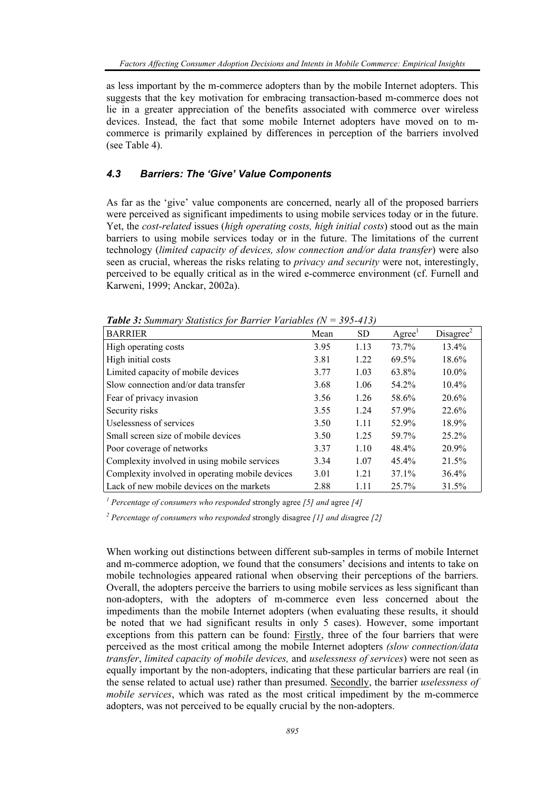as less important by the m-commerce adopters than by the mobile Internet adopters. This suggests that the key motivation for embracing transaction-based m-commerce does not lie in a greater appreciation of the benefits associated with commerce over wireless devices. Instead, the fact that some mobile Internet adopters have moved on to mcommerce is primarily explained by differences in perception of the barriers involved (see Table 4).

## *4.3 Barriers: The 'Give' Value Components*

As far as the 'give' value components are concerned, nearly all of the proposed barriers were perceived as significant impediments to using mobile services today or in the future. Yet, the *cost-related* issues (*high operating costs, high initial costs*) stood out as the main barriers to using mobile services today or in the future. The limitations of the current technology (*limited capacity of devices, slow connection and/or data transfer*) were also seen as crucial, whereas the risks relating to *privacy and security* were not, interestingly, perceived to be equally critical as in the wired e-commerce environment (cf. Furnell and Karweni, 1999; Anckar, 2002a).

| $\blacksquare$ word of Summany Summons for Barrier with $\omega$ |      |           |                                 |                       |
|------------------------------------------------------------------|------|-----------|---------------------------------|-----------------------|
| <b>BARRIER</b>                                                   | Mean | <b>SD</b> | A <sub>g</sub> ree <sup>1</sup> | Disagree <sup>2</sup> |
| High operating costs                                             | 3.95 | 1.13      | 73.7%                           | 13.4%                 |
| High initial costs                                               | 3.81 | 1.22      | 69.5%                           | 18.6%                 |
| Limited capacity of mobile devices                               | 3.77 | 1.03      | 63.8%                           | $10.0\%$              |
| Slow connection and/or data transfer                             | 3.68 | 1.06      | 54.2%                           | $10.4\%$              |
| Fear of privacy invasion                                         | 3.56 | 1.26      | 58.6%                           | 20.6%                 |
| Security risks                                                   | 3.55 | 1.24      | 57.9%                           | 22.6%                 |
| Uselessness of services                                          | 3.50 | 1.11      | 52.9%                           | 18.9%                 |
| Small screen size of mobile devices                              | 3.50 | 1.25      | 59.7%                           | $25.2\%$              |
| Poor coverage of networks                                        | 3.37 | 1.10      | 48.4%                           | 20.9%                 |
| Complexity involved in using mobile services                     | 3.34 | 1.07      | $45.4\%$                        | 21.5%                 |
| Complexity involved in operating mobile devices                  | 3.01 | 1.21      | $37.1\%$                        | 36.4%                 |
| Lack of new mobile devices on the markets                        | 2.88 | 1.11      | 25.7%                           | 31.5%                 |

*Table 3: Summary Statistics for Barrier Variables (N = 395-413)* 

*1 Percentage of consumers who responded* strongly agree *[5] and* agree *[4]* 

*2 Percentage of consumers who responded* strongly disagree *[1] and dis*agree *[2]* 

When working out distinctions between different sub-samples in terms of mobile Internet and m-commerce adoption, we found that the consumers' decisions and intents to take on mobile technologies appeared rational when observing their perceptions of the barriers. Overall, the adopters perceive the barriers to using mobile services as less significant than non-adopters, with the adopters of m-commerce even less concerned about the impediments than the mobile Internet adopters (when evaluating these results, it should be noted that we had significant results in only 5 cases). However, some important exceptions from this pattern can be found: Firstly, three of the four barriers that were perceived as the most critical among the mobile Internet adopters *(slow connection/data transfer*, *limited capacity of mobile devices,* and *uselessness of services*) were not seen as equally important by the non-adopters, indicating that these particular barriers are real (in the sense related to actual use) rather than presumed. Secondly, the barrier *uselessness of mobile services*, which was rated as the most critical impediment by the m-commerce adopters, was not perceived to be equally crucial by the non-adopters.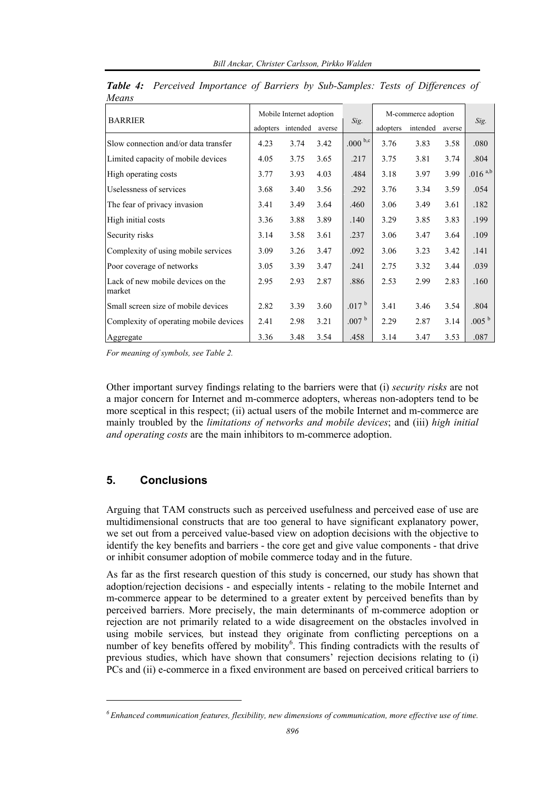|                                             | Mobile Internet adoption |          |        | M-commerce adoption |          |          |        |                   |
|---------------------------------------------|--------------------------|----------|--------|---------------------|----------|----------|--------|-------------------|
| <b>BARRIER</b>                              | adopters                 | intended | averse | Sig.                | adopters | intended | averse | Sig.              |
| Slow connection and/or data transfer        | 4.23                     | 3.74     | 3.42   | .000 $^{\rm b,c}$   | 3.76     | 3.83     | 3.58   | .080              |
| Limited capacity of mobile devices          | 4.05                     | 3.75     | 3.65   | .217                | 3.75     | 3.81     | 3.74   | .804              |
| High operating costs                        | 3.77                     | 3.93     | 4.03   | .484                | 3.18     | 3.97     | 3.99   | $.016^{a,b}$      |
| Uselessness of services                     | 3.68                     | 3.40     | 3.56   | .292                | 3.76     | 3.34     | 3.59   | .054              |
| The fear of privacy invasion                | 3.41                     | 3.49     | 3.64   | .460                | 3.06     | 3.49     | 3.61   | .182              |
| High initial costs                          | 3.36                     | 3.88     | 3.89   | .140                | 3.29     | 3.85     | 3.83   | .199              |
| Security risks                              | 3.14                     | 3.58     | 3.61   | .237                | 3.06     | 3.47     | 3.64   | .109              |
| Complexity of using mobile services         | 3.09                     | 3.26     | 3.47   | .092                | 3.06     | 3.23     | 3.42   | .141              |
| Poor coverage of networks                   | 3.05                     | 3.39     | 3.47   | .241                | 2.75     | 3.32     | 3.44   | .039              |
| Lack of new mobile devices on the<br>market | 2.95                     | 2.93     | 2.87   | .886                | 2.53     | 2.99     | 2.83   | .160              |
| Small screen size of mobile devices         | 2.82                     | 3.39     | 3.60   | .017 <sup>b</sup>   | 3.41     | 3.46     | 3.54   | .804              |
| Complexity of operating mobile devices      | 2.41                     | 2.98     | 3.21   | .007 <sup>b</sup>   | 2.29     | 2.87     | 3.14   | .005 <sup>b</sup> |
| Aggregate                                   | 3.36                     | 3.48     | 3.54   | .458                | 3.14     | 3.47     | 3.53   | .087              |

*Table 4: Perceived Importance of Barriers by Sub-Samples: Tests of Differences of Means* 

*For meaning of symbols, see Table 2.* 

Other important survey findings relating to the barriers were that (i) *security risks* are not a major concern for Internet and m-commerce adopters, whereas non-adopters tend to be more sceptical in this respect; (ii) actual users of the mobile Internet and m-commerce are mainly troubled by the *limitations of networks and mobile devices*; and (iii) *high initial and operating costs* are the main inhibitors to m-commerce adoption.

## **5. Conclusions**

l

Arguing that TAM constructs such as perceived usefulness and perceived ease of use are multidimensional constructs that are too general to have significant explanatory power, we set out from a perceived value-based view on adoption decisions with the objective to identify the key benefits and barriers - the core get and give value components - that drive or inhibit consumer adoption of mobile commerce today and in the future.

As far as the first research question of this study is concerned, our study has shown that adoption/rejection decisions - and especially intents - relating to the mobile Internet and m-commerce appear to be determined to a greater extent by perceived benefits than by perceived barriers. More precisely, the main determinants of m-commerce adoption or rejection are not primarily related to a wide disagreement on the obstacles involved in using mobile services*,* but instead they originate from conflicting perceptions on a number of key benefits offered by mobility<sup>6</sup>. This finding contradicts with the results of previous studies, which have shown that consumers' rejection decisions relating to (i) PCs and (ii) e-commerce in a fixed environment are based on perceived critical barriers to

*<sup>6</sup> Enhanced communication features, flexibility, new dimensions of communication, more effective use of time.*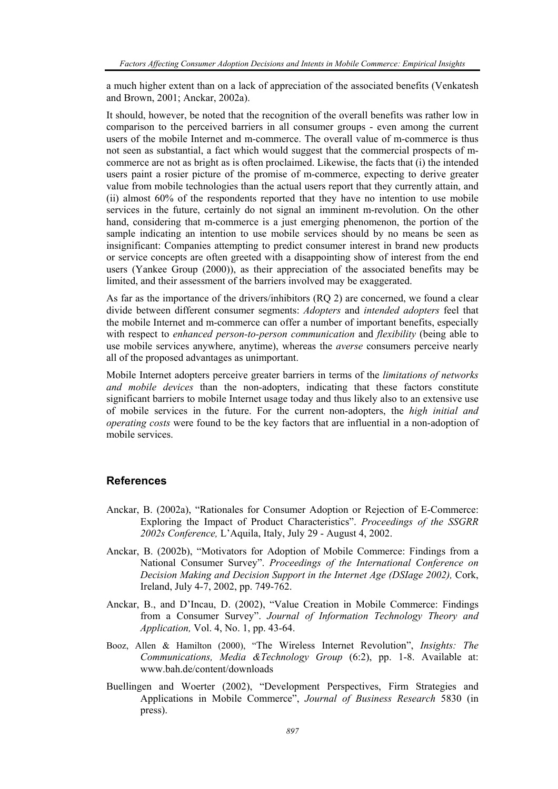a much higher extent than on a lack of appreciation of the associated benefits (Venkatesh and Brown, 2001; Anckar, 2002a).

It should, however, be noted that the recognition of the overall benefits was rather low in comparison to the perceived barriers in all consumer groups - even among the current users of the mobile Internet and m-commerce. The overall value of m-commerce is thus not seen as substantial, a fact which would suggest that the commercial prospects of mcommerce are not as bright as is often proclaimed. Likewise, the facts that (i) the intended users paint a rosier picture of the promise of m-commerce, expecting to derive greater value from mobile technologies than the actual users report that they currently attain, and (ii) almost 60% of the respondents reported that they have no intention to use mobile services in the future, certainly do not signal an imminent m-revolution. On the other hand, considering that m-commerce is a just emerging phenomenon, the portion of the sample indicating an intention to use mobile services should by no means be seen as insignificant: Companies attempting to predict consumer interest in brand new products or service concepts are often greeted with a disappointing show of interest from the end users (Yankee Group (2000)), as their appreciation of the associated benefits may be limited, and their assessment of the barriers involved may be exaggerated.

As far as the importance of the drivers/inhibitors (RQ 2) are concerned, we found a clear divide between different consumer segments: *Adopters* and *intended adopters* feel that the mobile Internet and m-commerce can offer a number of important benefits, especially with respect to *enhanced person-to-person communication* and *flexibility* (being able to use mobile services anywhere, anytime), whereas the *averse* consumers perceive nearly all of the proposed advantages as unimportant.

Mobile Internet adopters perceive greater barriers in terms of the *limitations of networks and mobile devices* than the non-adopters, indicating that these factors constitute significant barriers to mobile Internet usage today and thus likely also to an extensive use of mobile services in the future. For the current non-adopters, the *high initial and operating costs* were found to be the key factors that are influential in a non-adoption of mobile services.

#### **References**

- Anckar, B. (2002a), "Rationales for Consumer Adoption or Rejection of E-Commerce: Exploring the Impact of Product Characteristics". *Proceedings of the SSGRR 2002s Conference,* L'Aquila, Italy, July 29 - August 4, 2002.
- Anckar, B. (2002b), "Motivators for Adoption of Mobile Commerce: Findings from a National Consumer Survey". *Proceedings of the International Conference on Decision Making and Decision Support in the Internet Age (DSIage 2002),* Cork, Ireland, July 4-7, 2002, pp. 749-762.
- Anckar, B., and D'Incau, D. (2002), "Value Creation in Mobile Commerce: Findings from a Consumer Survey". *Journal of Information Technology Theory and Application,* Vol. 4, No. 1, pp. 43-64.
- Booz, Allen & Hamilton (2000), "The Wireless Internet Revolution", *Insights: The Communications, Media &Technology Group* (6:2), pp. 1-8. Available at: www.bah.de/content/downloads
- Buellingen and Woerter (2002), "Development Perspectives, Firm Strategies and Applications in Mobile Commerce", *Journal of Business Research* 5830 (in press).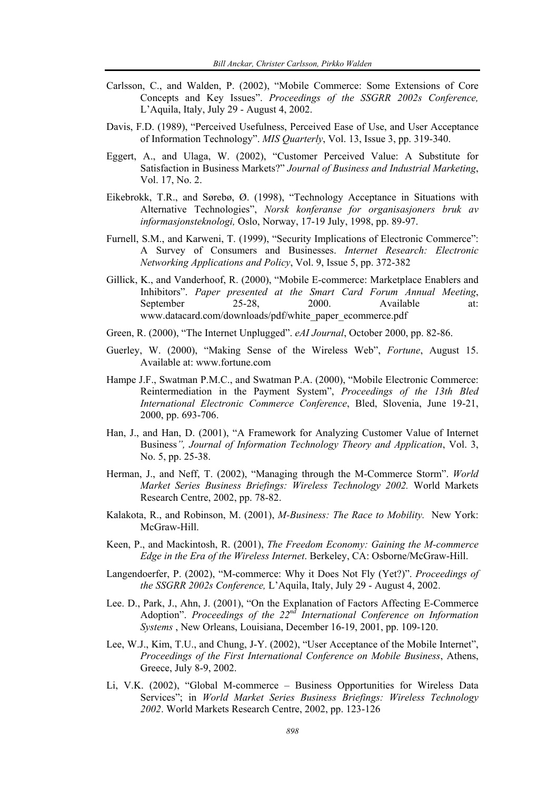- Carlsson, C., and Walden, P. (2002), "Mobile Commerce: Some Extensions of Core Concepts and Key Issues". *Proceedings of the SSGRR 2002s Conference,*  L'Aquila, Italy, July 29 - August 4, 2002.
- Davis, F.D. (1989), "Perceived Usefulness, Perceived Ease of Use, and User Acceptance of Information Technology". *MIS Quarterly*, Vol. 13, Issue 3, pp. 319-340.
- Eggert, A., and Ulaga, W. (2002), "Customer Perceived Value: A Substitute for Satisfaction in Business Markets?" *Journal of Business and Industrial Marketing*, Vol. 17, No. 2.
- Eikebrokk, T.R., and Sørebø, Ø. (1998), "Technology Acceptance in Situations with Alternative Technologies", *Norsk konferanse for organisasjoners bruk av informasjonsteknologi,* Oslo, Norway, 17-19 July, 1998, pp. 89-97.
- Furnell, S.M., and Karweni, T. (1999), "Security Implications of Electronic Commerce": A Survey of Consumers and Businesses. *Internet Research: Electronic Networking Applications and Policy*, Vol. 9, Issue 5, pp. 372-382
- Gillick, K., and Vanderhoof, R. (2000), "Mobile E-commerce: Marketplace Enablers and Inhibitors". *Paper presented at the Smart Card Forum Annual Meeting*, September 25-28, 2000. Available at: www.datacard.com/downloads/pdf/white\_paper\_ecommerce.pdf
- Green, R. (2000), "The Internet Unplugged". *eAI Journal*, October 2000, pp. 82-86.
- Guerley, W. (2000), "Making Sense of the Wireless Web", *Fortune*, August 15. Available at: www.fortune.com
- Hampe J.F., Swatman P.M.C., and Swatman P.A. (2000), "Mobile Electronic Commerce: Reintermediation in the Payment System", *Proceedings of the 13th Bled International Electronic Commerce Conference*, Bled, Slovenia, June 19-21, 2000, pp. 693-706.
- Han, J., and Han, D. (2001), "A Framework for Analyzing Customer Value of Internet Business*", Journal of Information Technology Theory and Application*, Vol. 3, No. 5, pp. 25-38.
- Herman, J., and Neff, T. (2002), "Managing through the M-Commerce Storm". *World Market Series Business Briefings: Wireless Technology 2002.* World Markets Research Centre, 2002, pp. 78-82.
- Kalakota, R., and Robinson, M. (2001), *M-Business: The Race to Mobility.* New York: McGraw-Hill.
- Keen, P., and Mackintosh, R. (2001), *The Freedom Economy: Gaining the M-commerce Edge in the Era of the Wireless Internet*. Berkeley, CA: Osborne/McGraw-Hill.
- Langendoerfer, P. (2002), "M-commerce: Why it Does Not Fly (Yet?)". *Proceedings of the SSGRR 2002s Conference,* L'Aquila, Italy, July 29 - August 4, 2002.
- Lee. D., Park, J., Ahn, J. (2001), "On the Explanation of Factors Affecting E-Commerce Adoption". *Proceedings of the 22nd International Conference on Information Systems* , New Orleans, Louisiana, December 16-19, 2001, pp. 109-120.
- Lee, W.J., Kim, T.U., and Chung, J-Y. (2002), "User Acceptance of the Mobile Internet", *Proceedings of the First International Conference on Mobile Business*, Athens, Greece, July 8-9, 2002.
- Li, V.K. (2002), "Global M-commerce Business Opportunities for Wireless Data Services"; in *World Market Series Business Briefings: Wireless Technology 2002*. World Markets Research Centre, 2002, pp. 123-126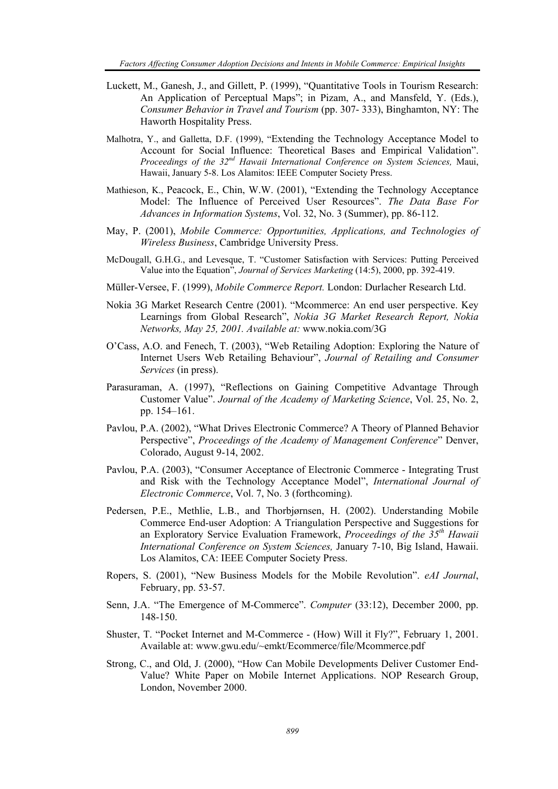- Luckett, M., Ganesh, J., and Gillett, P. (1999), "Quantitative Tools in Tourism Research: An Application of Perceptual Maps"; in Pizam, A., and Mansfeld, Y. (Eds.), *Consumer Behavior in Travel and Tourism* (pp. 307- 333), Binghamton, NY: The Haworth Hospitality Press.
- Malhotra, Y., and Galletta, D.F. (1999), "Extending the Technology Acceptance Model to Account for Social Influence: Theoretical Bases and Empirical Validation". *Proceedings of the 32nd Hawaii International Conference on System Sciences,* Maui, Hawaii, January 5-8. Los Alamitos: IEEE Computer Society Press.
- Mathieson, K., Peacock, E., Chin, W.W. (2001), "Extending the Technology Acceptance Model: The Influence of Perceived User Resources". *The Data Base For Advances in Information Systems*, Vol. 32, No. 3 (Summer), pp. 86-112.
- May, P. (2001), *Mobile Commerce: Opportunities, Applications, and Technologies of Wireless Business*, Cambridge University Press.
- McDougall, G.H.G., and Levesque, T. "Customer Satisfaction with Services: Putting Perceived Value into the Equation", *Journal of Services Marketing* (14:5), 2000, pp. 392-419.
- Müller-Versee, F. (1999), *Mobile Commerce Report.* London: Durlacher Research Ltd.
- Nokia 3G Market Research Centre (2001). "Mcommerce: An end user perspective. Key Learnings from Global Research", *Nokia 3G Market Research Report, Nokia Networks, May 25, 2001. Available at:* www.nokia.com/3G
- O'Cass, A.O. and Fenech, T. (2003), "Web Retailing Adoption: Exploring the Nature of Internet Users Web Retailing Behaviour", *Journal of Retailing and Consumer Services* (in press).
- Parasuraman, A. (1997), "Reflections on Gaining Competitive Advantage Through Customer Value". *Journal of the Academy of Marketing Science*, Vol. 25, No. 2, pp. 154*–*161.
- Pavlou, P.A. (2002), "What Drives Electronic Commerce? A Theory of Planned Behavior Perspective", *Proceedings of the Academy of Management Conference*" Denver, Colorado, August 9-14, 2002.
- Pavlou, P.A. (2003), "Consumer Acceptance of Electronic Commerce Integrating Trust and Risk with the Technology Acceptance Model", *International Journal of Electronic Commerce*, Vol. 7, No. 3 (forthcoming).
- Pedersen, P.E., Methlie, L.B., and Thorbjørnsen, H. (2002). Understanding Mobile Commerce End-user Adoption: A Triangulation Perspective and Suggestions for an Exploratory Service Evaluation Framework, *Proceedings of the 35th Hawaii International Conference on System Sciences,* January 7-10, Big Island, Hawaii. Los Alamitos, CA: IEEE Computer Society Press.
- Ropers, S. (2001), "New Business Models for the Mobile Revolution". *eAI Journal*, February, pp. 53-57.
- Senn, J.A. "The Emergence of M-Commerce". *Computer* (33:12), December 2000, pp. 148-150.
- Shuster, T. "Pocket Internet and M-Commerce (How) Will it Fly?", February 1, 2001. Available at: www.gwu.edu/~emkt/Ecommerce/file/Mcommerce.pdf
- Strong, C., and Old, J. (2000), "How Can Mobile Developments Deliver Customer End-Value? White Paper on Mobile Internet Applications. NOP Research Group, London, November 2000.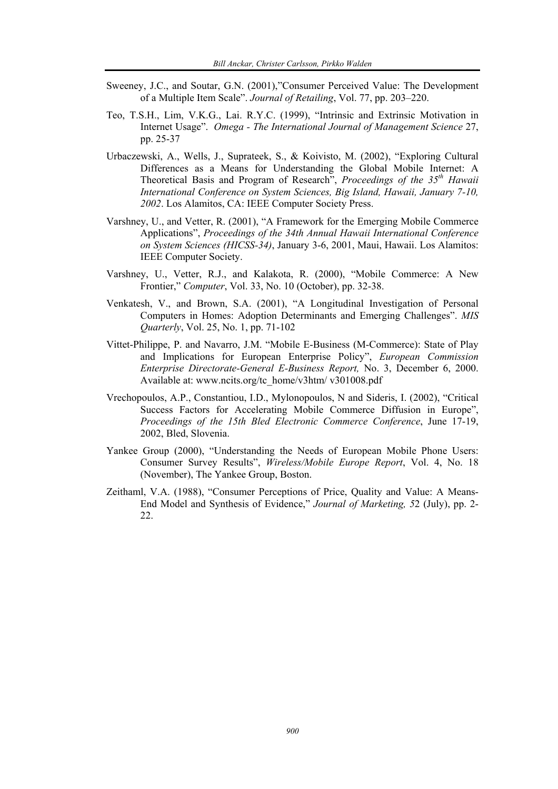- Sweeney, J.C., and Soutar, G.N. (2001),"Consumer Perceived Value: The Development of a Multiple Item Scale". *Journal of Retailing*, Vol. 77, pp. 203–220.
- Teo, T.S.H., Lim, V.K.G., Lai. R.Y.C. (1999), "Intrinsic and Extrinsic Motivation in Internet Usage". *Omega - The International Journal of Management Science* 27, pp. 25-37
- Urbaczewski, A., Wells, J., Suprateek, S., & Koivisto, M. (2002), "Exploring Cultural Differences as a Means for Understanding the Global Mobile Internet: A Theoretical Basis and Program of Research", *Proceedings of the 35th Hawaii International Conference on System Sciences, Big Island, Hawaii, January 7-10, 2002*. Los Alamitos, CA: IEEE Computer Society Press.
- Varshney, U., and Vetter, R. (2001), "A Framework for the Emerging Mobile Commerce Applications", *Proceedings of the 34th Annual Hawaii International Conference on System Sciences (HICSS-34)*, January 3-6, 2001, Maui, Hawaii. Los Alamitos: IEEE Computer Society.
- Varshney, U., Vetter, R.J., and Kalakota, R. (2000), "Mobile Commerce: A New Frontier," *Computer*, Vol. 33, No. 10 (October), pp. 32-38.
- Venkatesh, V., and Brown, S.A. (2001), "A Longitudinal Investigation of Personal Computers in Homes: Adoption Determinants and Emerging Challenges". *MIS Quarterly*, Vol. 25, No. 1, pp. 71-102
- Vittet-Philippe, P. and Navarro, J.M. "Mobile E-Business (M-Commerce): State of Play and Implications for European Enterprise Policy", *European Commission Enterprise Directorate-General E-Business Report,* No. 3, December 6, 2000. Available at: www.ncits.org/tc\_home/v3htm/ v301008.pdf
- Vrechopoulos, A.P., Constantiou, I.D., Mylonopoulos, N and Sideris, I. (2002), "Critical Success Factors for Accelerating Mobile Commerce Diffusion in Europe", *Proceedings of the 15th Bled Electronic Commerce Conference*, June 17-19, 2002, Bled, Slovenia.
- Yankee Group (2000), "Understanding the Needs of European Mobile Phone Users: Consumer Survey Results", *Wireless/Mobile Europe Report*, Vol. 4, No. 18 (November), The Yankee Group, Boston.
- Zeithaml, V.A. (1988), "Consumer Perceptions of Price, Quality and Value: A Means-End Model and Synthesis of Evidence," *Journal of Marketing, 5*2 (July), pp. 2- 22.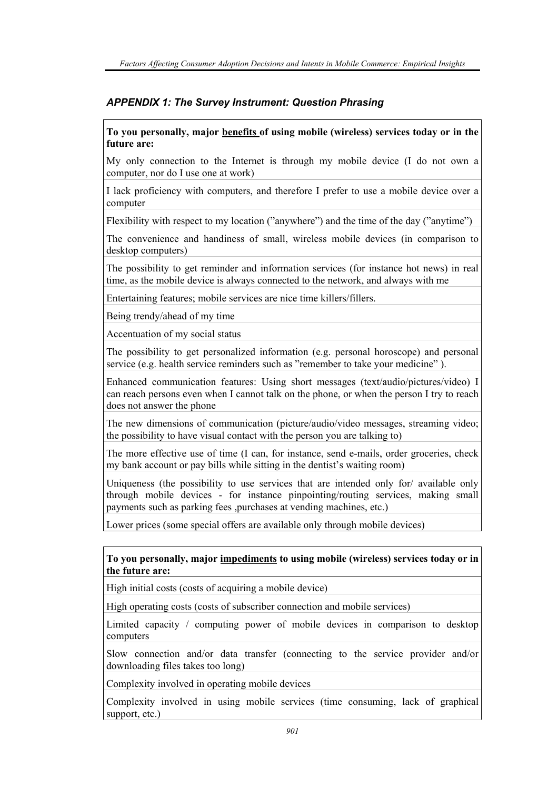## *APPENDIX 1: The Survey Instrument: Question Phrasing*

#### **To you personally, major benefits of using mobile (wireless) services today or in the future are:**

My only connection to the Internet is through my mobile device (I do not own a computer, nor do I use one at work)

I lack proficiency with computers, and therefore I prefer to use a mobile device over a computer

Flexibility with respect to my location ("anywhere") and the time of the day ("anytime")

The convenience and handiness of small, wireless mobile devices (in comparison to desktop computers)

The possibility to get reminder and information services (for instance hot news) in real time, as the mobile device is always connected to the network, and always with me

Entertaining features; mobile services are nice time killers/fillers.

Being trendy/ahead of my time

Accentuation of my social status

The possibility to get personalized information (e.g. personal horoscope) and personal service (e.g. health service reminders such as "remember to take your medicine").

Enhanced communication features: Using short messages (text/audio/pictures/video) I can reach persons even when I cannot talk on the phone, or when the person I try to reach does not answer the phone

The new dimensions of communication (picture/audio/video messages, streaming video; the possibility to have visual contact with the person you are talking to)

The more effective use of time (I can, for instance, send e-mails, order groceries, check my bank account or pay bills while sitting in the dentist's waiting room)

Uniqueness (the possibility to use services that are intended only for/ available only through mobile devices - for instance pinpointing/routing services, making small payments such as parking fees ,purchases at vending machines, etc.)

Lower prices (some special offers are available only through mobile devices)

**To you personally, major impediments to using mobile (wireless) services today or in the future are:** 

High initial costs (costs of acquiring a mobile device)

High operating costs (costs of subscriber connection and mobile services)

Limited capacity / computing power of mobile devices in comparison to desktop computers

Slow connection and/or data transfer (connecting to the service provider and/or downloading files takes too long)

Complexity involved in operating mobile devices

Complexity involved in using mobile services (time consuming, lack of graphical support, etc.)